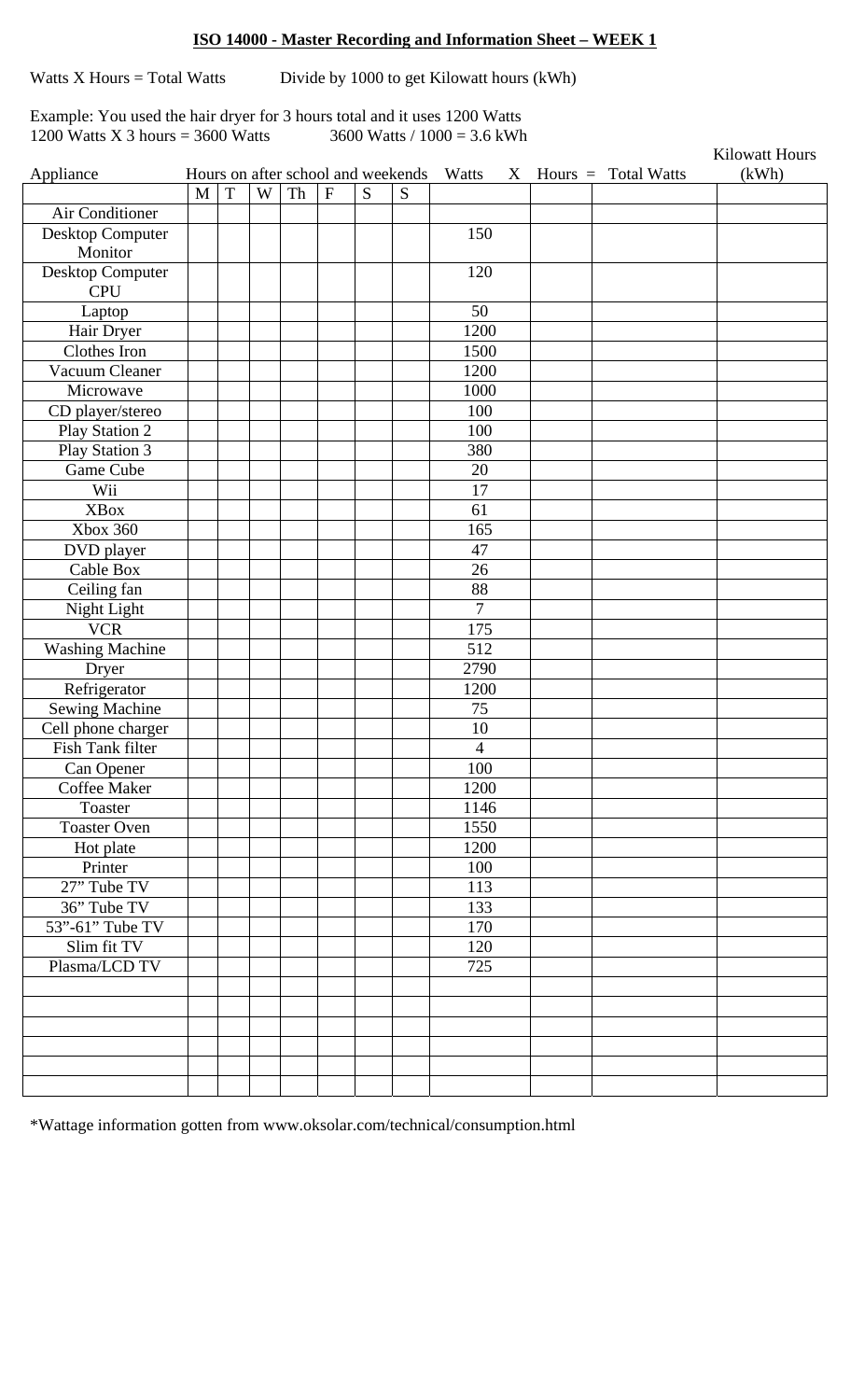## **ISO 14000 - Master Recording and Information Sheet – WEEK 1**

Watts  $X$  Hours = Total Watts Divide by 1000 to get Kilowatt hours (kWh)

Example: You used the hair dryer for 3 hours total and it uses 1200 Watts 1200 Watts X 3 hours = 3600 Watts 3600 Watts  $/ 1000 = 3.6$  kWh

|                        |              |   |   |    |                |   |                                    |                |   |                       | <b>Kilowatt Hours</b> |
|------------------------|--------------|---|---|----|----------------|---|------------------------------------|----------------|---|-----------------------|-----------------------|
| Appliance              |              |   |   |    |                |   | Hours on after school and weekends | Watts          | X | Hours $=$ Total Watts | (kWh)                 |
|                        | $\mathbf{M}$ | T | W | Th | $\overline{F}$ | S | S                                  |                |   |                       |                       |
| Air Conditioner        |              |   |   |    |                |   |                                    |                |   |                       |                       |
| Desktop Computer       |              |   |   |    |                |   |                                    | 150            |   |                       |                       |
| Monitor                |              |   |   |    |                |   |                                    |                |   |                       |                       |
| Desktop Computer       |              |   |   |    |                |   |                                    | 120            |   |                       |                       |
| <b>CPU</b>             |              |   |   |    |                |   |                                    |                |   |                       |                       |
| Laptop                 |              |   |   |    |                |   |                                    | 50             |   |                       |                       |
| Hair Dryer             |              |   |   |    |                |   |                                    | 1200           |   |                       |                       |
| Clothes Iron           |              |   |   |    |                |   |                                    | 1500           |   |                       |                       |
| Vacuum Cleaner         |              |   |   |    |                |   |                                    | 1200           |   |                       |                       |
| Microwave              |              |   |   |    |                |   |                                    | 1000           |   |                       |                       |
| CD player/stereo       |              |   |   |    |                |   |                                    | 100            |   |                       |                       |
| Play Station 2         |              |   |   |    |                |   |                                    | 100            |   |                       |                       |
| Play Station 3         |              |   |   |    |                |   |                                    | 380            |   |                       |                       |
| Game Cube              |              |   |   |    |                |   |                                    | 20             |   |                       |                       |
| Wii                    |              |   |   |    |                |   |                                    | 17             |   |                       |                       |
| <b>XBox</b>            |              |   |   |    |                |   |                                    | 61             |   |                       |                       |
| <b>Xbox 360</b>        |              |   |   |    |                |   |                                    | 165            |   |                       |                       |
| DVD player             |              |   |   |    |                |   |                                    | 47             |   |                       |                       |
| Cable Box              |              |   |   |    |                |   |                                    | 26             |   |                       |                       |
| Ceiling fan            |              |   |   |    |                |   |                                    | 88             |   |                       |                       |
| Night Light            |              |   |   |    |                |   |                                    | $\overline{7}$ |   |                       |                       |
| <b>VCR</b>             |              |   |   |    |                |   |                                    | 175            |   |                       |                       |
| <b>Washing Machine</b> |              |   |   |    |                |   |                                    | 512            |   |                       |                       |
| Dryer                  |              |   |   |    |                |   |                                    | 2790           |   |                       |                       |
| Refrigerator           |              |   |   |    |                |   |                                    | 1200           |   |                       |                       |
| <b>Sewing Machine</b>  |              |   |   |    |                |   |                                    | 75             |   |                       |                       |
| Cell phone charger     |              |   |   |    |                |   |                                    | 10             |   |                       |                       |
| Fish Tank filter       |              |   |   |    |                |   |                                    | 4              |   |                       |                       |
| Can Opener             |              |   |   |    |                |   |                                    | 100            |   |                       |                       |
| Coffee Maker           |              |   |   |    |                |   |                                    | 1200           |   |                       |                       |
| Toaster                |              |   |   |    |                |   |                                    | 1146           |   |                       |                       |
| <b>Toaster Oven</b>    |              |   |   |    |                |   |                                    | 1550           |   |                       |                       |
| Hot plate              |              |   |   |    |                |   |                                    | 1200           |   |                       |                       |
| Printer                |              |   |   |    |                |   |                                    | 100            |   |                       |                       |
| 27" Tube TV            |              |   |   |    |                |   |                                    | 113            |   |                       |                       |
| 36" Tube TV            |              |   |   |    |                |   |                                    | 133            |   |                       |                       |
| 53"-61" Tube TV        |              |   |   |    |                |   |                                    | 170            |   |                       |                       |
| Slim fit TV            |              |   |   |    |                |   |                                    | 120            |   |                       |                       |
| Plasma/LCD TV          |              |   |   |    |                |   |                                    | 725            |   |                       |                       |
|                        |              |   |   |    |                |   |                                    |                |   |                       |                       |
|                        |              |   |   |    |                |   |                                    |                |   |                       |                       |
|                        |              |   |   |    |                |   |                                    |                |   |                       |                       |
|                        |              |   |   |    |                |   |                                    |                |   |                       |                       |
|                        |              |   |   |    |                |   |                                    |                |   |                       |                       |
|                        |              |   |   |    |                |   |                                    |                |   |                       |                       |
|                        |              |   |   |    |                |   |                                    |                |   |                       |                       |

\*Wattage information gotten from www.oksolar.com/technical/consumption.html